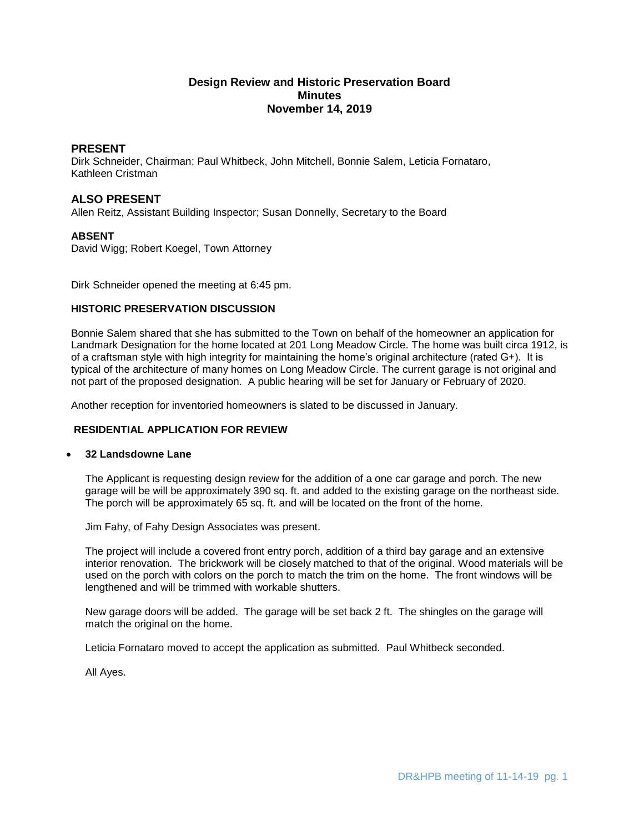# **Design Review and Historic Preservation Board Minutes November 14, 2019**

## **PRESENT**

Dirk Schneider, Chairman; Paul Whitbeck, John Mitchell, Bonnie Salem, Leticia Fornataro, Kathleen Cristman

## **ALSO PRESENT**

Allen Reitz, Assistant Building Inspector; Susan Donnelly, Secretary to the Board

### **ABSENT**

David Wigg; Robert Koegel, Town Attorney

Dirk Schneider opened the meeting at 6:45 pm.

### **HISTORIC PRESERVATION DISCUSSION**

Bonnie Salem shared that she has submitted to the Town on behalf of the homeowner an application for Landmark Designation for the home located at 201 Long Meadow Circle. The home was built circa 1912, is of a craftsman style with high integrity for maintaining the home's original architecture (rated G+). It is typical of the architecture of many homes on Long Meadow Circle. The current garage is not original and not part of the proposed designation. A public hearing will be set for January or February of 2020.

Another reception for inventoried homeowners is slated to be discussed in January.

### **RESIDENTIAL APPLICATION FOR REVIEW**

### **32 Landsdowne Lane**

The Applicant is requesting design review for the addition of a one car garage and porch. The new garage will be will be approximately 390 sq. ft. and added to the existing garage on the northeast side. The porch will be approximately 65 sq. ft. and will be located on the front of the home.

Jim Fahy, of Fahy Design Associates was present.

The project will include a covered front entry porch, addition of a third bay garage and an extensive interior renovation. The brickwork will be closely matched to that of the original. Wood materials will be used on the porch with colors on the porch to match the trim on the home. The front windows will be lengthened and will be trimmed with workable shutters.

New garage doors will be added. The garage will be set back 2 ft. The shingles on the garage will match the original on the home.

Leticia Fornataro moved to accept the application as submitted. Paul Whitbeck seconded.

All Ayes.